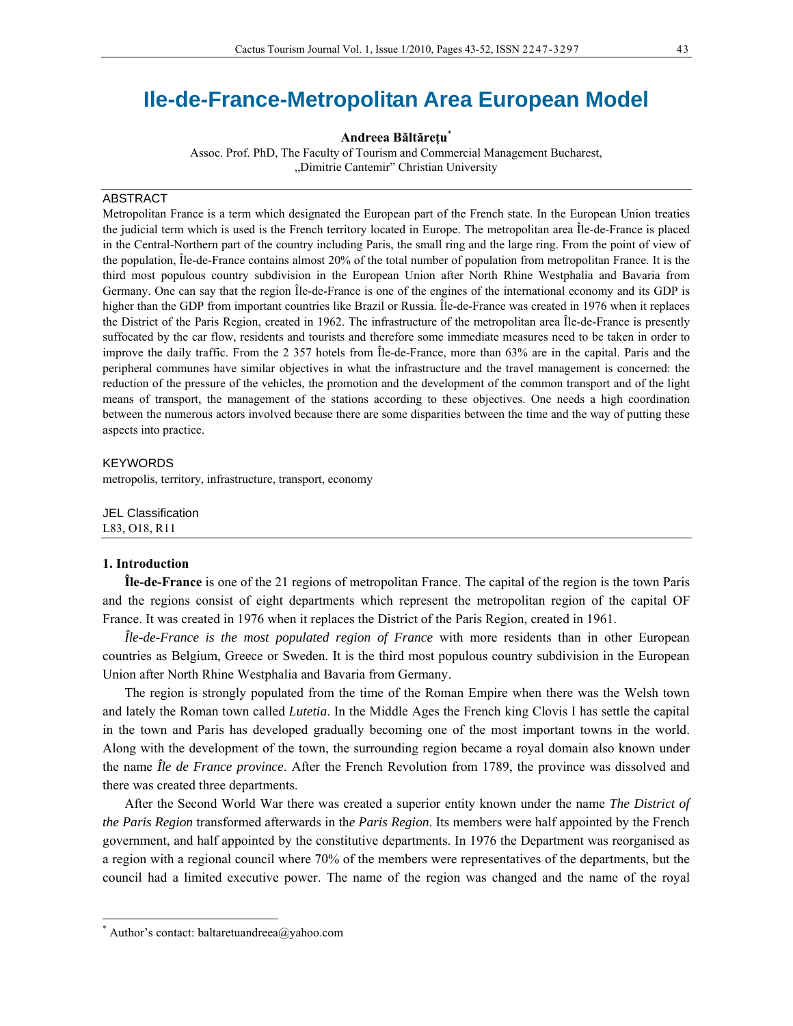# **Ile-de-France-Metropolitan Area European Model**

**Andreea Băltăreţu**\*

Assoc. Prof. PhD, The Faculty of Tourism and Commercial Management Bucharest, "Dimitrie Cantemir" Christian University

#### ABSTRACT

Metropolitan France is a term which designated the European part of the French state. In the European Union treaties the judicial term which is used is the French territory located in Europe. The metropolitan area Île-de-France is placed in the Central-Northern part of the country including Paris, the small ring and the large ring. From the point of view of the population, Île-de-France contains almost 20% of the total number of population from metropolitan France. It is the third most populous country subdivision in the European Union after North Rhine Westphalia and Bavaria from Germany. One can say that the region Île-de-France is one of the engines of the international economy and its GDP is higher than the GDP from important countries like Brazil or Russia. Île-de-France was created in 1976 when it replaces the District of the Paris Region, created in 1962. The infrastructure of the metropolitan area Île-de-France is presently suffocated by the car flow, residents and tourists and therefore some immediate measures need to be taken in order to improve the daily traffic. From the 2 357 hotels from Île-de-France, more than 63% are in the capital. Paris and the peripheral communes have similar objectives in what the infrastructure and the travel management is concerned: the reduction of the pressure of the vehicles, the promotion and the development of the common transport and of the light means of transport, the management of the stations according to these objectives. One needs a high coordination between the numerous actors involved because there are some disparities between the time and the way of putting these aspects into practice.

#### KEYWORDS

metropolis, territory, infrastructure, transport, economy

JEL Classification L83, O18, R11

#### **1. Introduction**

 $\overline{a}$ 

**Île-de-France** is one of the 21 regions of metropolitan France. The capital of the region is the town Paris and the regions consist of eight departments which represent the metropolitan region of the capital OF France. It was created in 1976 when it replaces the District of the Paris Region, created in 1961.

*Île-de-France is the most populated region of France* with more residents than in other European countries as Belgium, Greece or Sweden. It is the third most populous country subdivision in the European Union after North Rhine Westphalia and Bavaria from Germany.

The region is strongly populated from the time of the Roman Empire when there was the Welsh town and lately the Roman town called *Lutetia*. In the Middle Ages the French king Clovis I has settle the capital in the town and Paris has developed gradually becoming one of the most important towns in the world. Along with the development of the town, the surrounding region became a royal domain also known under the name *Île de France province*. After the French Revolution from 1789, the province was dissolved and there was created three departments.

After the Second World War there was created a superior entity known under the name *The District of the Paris Region* transformed afterwards in th*e Paris Region*. Its members were half appointed by the French government, and half appointed by the constitutive departments. In 1976 the Department was reorganised as a region with a regional council where 70% of the members were representatives of the departments, but the council had a limited executive power. The name of the region was changed and the name of the royal

<sup>\*</sup> Author's contact: baltaretuandreea@yahoo.com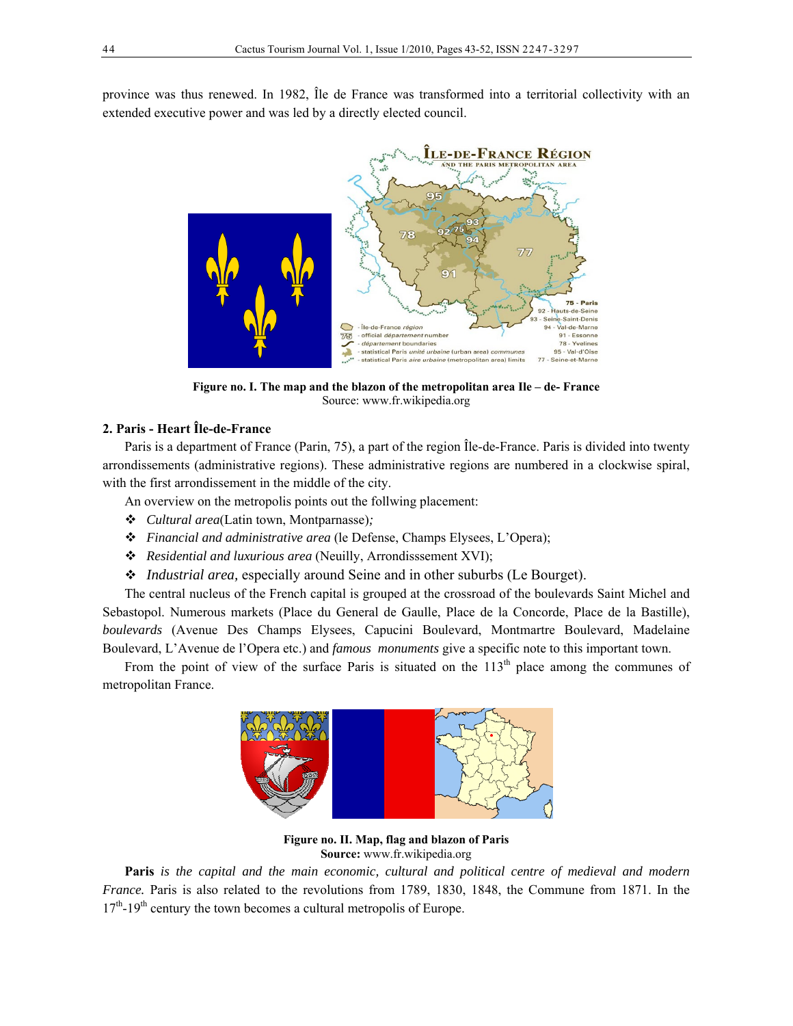province was thus renewed. In 1982, Île de France was transformed into a territorial collectivity with an extended executive power and was led by a directly elected council.



**Figure no. I. The map and the blazon of the metropolitan area Ile – de- France**  Source: www.fr.wikipedia.org

## **2. Paris - Heart Île-de-France**

Paris is a department of France (Parin, 75), a part of the region Île-de-France. Paris is divided into twenty arrondissements (administrative regions). These administrative regions are numbered in a clockwise spiral, with the first arrondissement in the middle of the city.

An overview on the metropolis points out the follwing placement:

- *Cultural area*(Latin town, Montparnasse)*;*
- *Financial and administrative area* (le Defense, Champs Elysees, L'Opera);
- *Residential and luxurious area* (Neuilly, Arrondisssement XVI);
- *Industrial area,* especially around Seine and in other suburbs (Le Bourget).

The central nucleus of the French capital is grouped at the crossroad of the boulevards Saint Michel and Sebastopol. Numerous markets (Place du General de Gaulle, Place de la Concorde, Place de la Bastille), *boulevards* (Avenue Des Champs Elysees, Capucini Boulevard, Montmartre Boulevard, Madelaine Boulevard, L'Avenue de l'Opera etc.) and *famous monuments* give a specific note to this important town.

From the point of view of the surface Paris is situated on the  $113<sup>th</sup>$  place among the communes of metropolitan France.



**Figure no. II. Map, flag and blazon of Paris Source:** www.fr.wikipedia.org

**Paris** *is the capital and the main economic, cultural and political centre of medieval and modern France.* Paris is also related to the revolutions from 1789, 1830, 1848, the Commune from 1871. In the 17<sup>th</sup>-19<sup>th</sup> century the town becomes a cultural metropolis of Europe.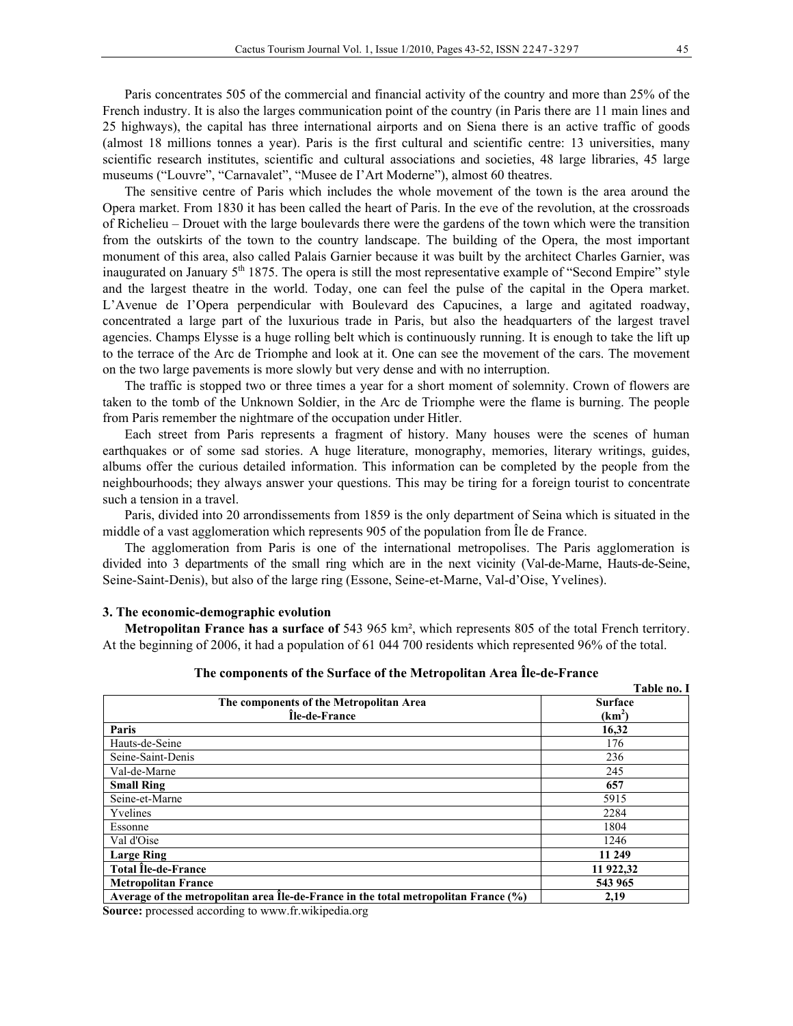Paris concentrates 505 of the commercial and financial activity of the country and more than 25% of the French industry. It is also the larges communication point of the country (in Paris there are 11 main lines and 25 highways), the capital has three international airports and on Siena there is an active traffic of goods (almost 18 millions tonnes a year). Paris is the first cultural and scientific centre: 13 universities, many scientific research institutes, scientific and cultural associations and societies, 48 large libraries, 45 large museums ("Louvre", "Carnavalet", "Musee de I'Art Moderne"), almost 60 theatres.

The sensitive centre of Paris which includes the whole movement of the town is the area around the Opera market. From 1830 it has been called the heart of Paris. In the eve of the revolution, at the crossroads of Richelieu – Drouet with the large boulevards there were the gardens of the town which were the transition from the outskirts of the town to the country landscape. The building of the Opera, the most important monument of this area, also called Palais Garnier because it was built by the architect Charles Garnier, was inaugurated on January  $5<sup>th</sup> 1875$ . The opera is still the most representative example of "Second Empire" style and the largest theatre in the world. Today, one can feel the pulse of the capital in the Opera market. L'Avenue de I'Opera perpendicular with Boulevard des Capucines, a large and agitated roadway, concentrated a large part of the luxurious trade in Paris, but also the headquarters of the largest travel agencies. Champs Elysse is a huge rolling belt which is continuously running. It is enough to take the lift up to the terrace of the Arc de Triomphe and look at it. One can see the movement of the cars. The movement on the two large pavements is more slowly but very dense and with no interruption.

The traffic is stopped two or three times a year for a short moment of solemnity. Crown of flowers are taken to the tomb of the Unknown Soldier, in the Arc de Triomphe were the flame is burning. The people from Paris remember the nightmare of the occupation under Hitler.

Each street from Paris represents a fragment of history. Many houses were the scenes of human earthquakes or of some sad stories. A huge literature, monography, memories, literary writings, guides, albums offer the curious detailed information. This information can be completed by the people from the neighbourhoods; they always answer your questions. This may be tiring for a foreign tourist to concentrate such a tension in a travel.

Paris, divided into 20 arrondissements from 1859 is the only department of Seina which is situated in the middle of a vast agglomeration which represents 905 of the population from Île de France.

The agglomeration from Paris is one of the international metropolises. The Paris agglomeration is divided into 3 departments of the small ring which are in the next vicinity (Val-de-Marne, Hauts-de-Seine, Seine-Saint-Denis), but also of the large ring (Essone, Seine-et-Marne, Val-d'Oise, Yvelines).

#### **3. The economic-demographic evolution**

**Metropolitan France has a surface of** 543 965 km², which represents 805 of the total French territory. At the beginning of 2006, it had a population of 61 044 700 residents which represented 96% of the total.

|                                                                                    | Table no. I    |
|------------------------------------------------------------------------------------|----------------|
| The components of the Metropolitan Area                                            | <b>Surface</b> |
| Île-de-France                                                                      | $(km^2)$       |
| Paris                                                                              | 16,32          |
| Hauts-de-Seine                                                                     | 176            |
| Seine-Saint-Denis                                                                  | 236            |
| Val-de-Marne                                                                       | 245            |
| <b>Small Ring</b>                                                                  | 657            |
| Seine-et-Marne                                                                     | 5915           |
| Yvelines                                                                           | 2284           |
| Essonne                                                                            | 1804           |
| Val d'Oise                                                                         | 1246           |
| <b>Large Ring</b>                                                                  | 11 249         |
| <b>Total Ile-de-France</b>                                                         | 11 922,32      |
| <b>Metropolitan France</b>                                                         | 543 965        |
| Average of the metropolitan area le-de-France in the total metropolitan France (%) | 2.19           |

**The components of the Surface of the Metropolitan Area Île-de-France** 

**Source:** processed according to www.fr.wikipedia.org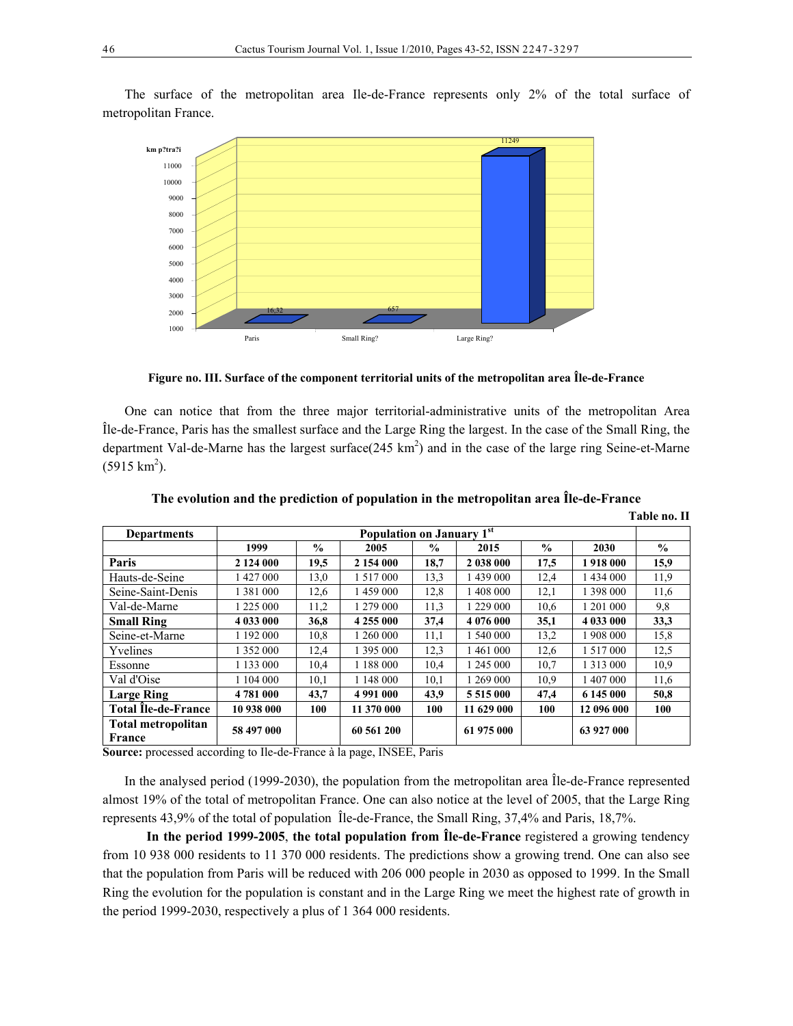The surface of the metropolitan area Ile-de-France represents only 2% of the total surface of metropolitan France.



**Figure no. III. Surface of the component territorial units of the metropolitan area Île-de-France** 

One can notice that from the three major territorial-administrative units of the metropolitan Area Île-de-France, Paris has the smallest surface and the Large Ring the largest. In the case of the Small Ring, the department Val-de-Marne has the largest surface $(245 \text{ km}^2)$  and in the case of the large ring Seine-et-Marne  $(5915 \text{ km}^2)$ .

| <b>Departments</b>                  | Population on January 1st |      |               |               |               |               |               |               |
|-------------------------------------|---------------------------|------|---------------|---------------|---------------|---------------|---------------|---------------|
|                                     | 1999                      | $\%$ | 2005          | $\frac{0}{0}$ | 2015          | $\frac{0}{0}$ | 2030          | $\frac{0}{0}$ |
| Paris                               | 2 124 000                 | 19,5 | 2 154 000     | 18,7          | 2 038 000     | 17,5          | 1918 000      | 15,9          |
| Hauts-de-Seine                      | 1 427 000                 | 13,0 | 1 5 1 7 0 0 0 | 13,3          | 1439000       | 12,4          | 1 434 000     | 11.9          |
| Seine-Saint-Denis                   | 1 3 8 1 0 0 0             | 12,6 | 1 459 000     | 12,8          | 1 408 000     | 12,1          | 1 398 000     | 11.6          |
| Val-de-Marne                        | 1 225 000                 | 11,2 | 1 279 000     | 11,3          | 1 229 000     | 10.6          | 201 000       | 9,8           |
| <b>Small Ring</b>                   | 4 033 000                 | 36,8 | 4 255 000     | 37,4          | 4 076 000     | 35,1          | 4 033 000     | 33,3          |
| Seine-et-Marne                      | 1 192 000                 | 10,8 | 1 260 000     | 11,1          | 1 540 000     | 13,2          | 1 908 000     | 15,8          |
| Yvelines                            | 1 352 000                 | 12,4 | 1 395 000     | 12,3          | 1461000       | 12,6          | 1 5 1 7 0 0 0 | 12,5          |
| Essonne                             | 1 133 000                 | 10,4 | 1 188 000     | 10,4          | 1 245 000     | 10.7          | 1 3 1 3 0 0 0 | 10.9          |
| Val d'Oise                          | 1 104 000                 | 10,1 | 1 148 000     | 10,1          | 1 269 000     | 10.9          | 1 407 000     | 11,6          |
| <b>Large Ring</b>                   | 4781 000                  | 43,7 | 4 991 000     | 43.9          | 5 5 1 5 0 0 0 | 47.4          | 6 145 000     | 50,8          |
| <b>Total Ile-de-France</b>          | 10 938 000                | 100  | 11 370 000    | 100           | 11 629 000    | 100           | 12 096 000    | 100           |
| <b>Total metropolitan</b><br>France | 58 497 000                |      | 60 561 200    |               | 61 975 000    |               | 63 927 000    |               |

**The evolution and the prediction of population in the metropolitan area Île-de-France** 

**Table no. II**

**Source:** processed according to Ile-de-France à la page, INSEE, Paris

In the analysed period (1999-2030), the population from the metropolitan area Île-de-France represented almost 19% of the total of metropolitan France. One can also notice at the level of 2005, that the Large Ring represents 43,9% of the total of population Île-de-France, the Small Ring, 37,4% and Paris, 18,7%.

**In the period 1999-2005**, **the total population from Île-de-France** registered a growing tendency from 10 938 000 residents to 11 370 000 residents. The predictions show a growing trend. One can also see that the population from Paris will be reduced with 206 000 people in 2030 as opposed to 1999. In the Small Ring the evolution for the population is constant and in the Large Ring we meet the highest rate of growth in the period 1999-2030, respectively a plus of 1 364 000 residents.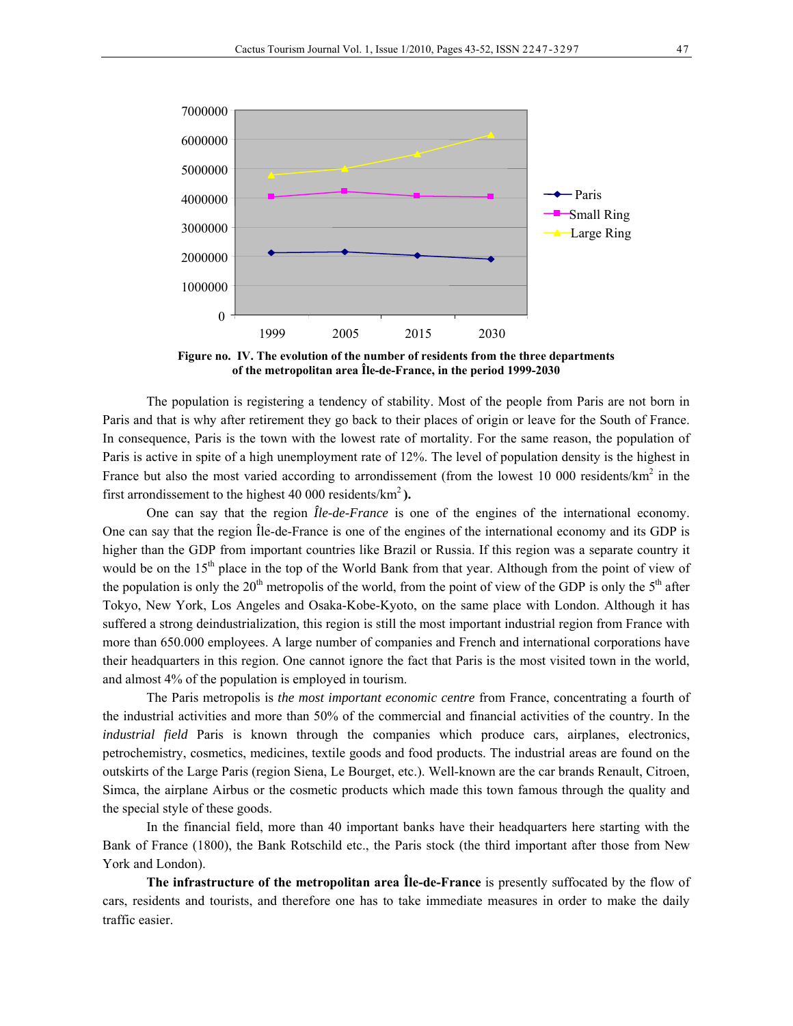

**Figure no. IV. The evolution of the number of residents from the three departments of the metropolitan area Île-de-France, in the period 1999-2030** 

The population is registering a tendency of stability. Most of the people from Paris are not born in Paris and that is why after retirement they go back to their places of origin or leave for the South of France. In consequence, Paris is the town with the lowest rate of mortality. For the same reason, the population of Paris is active in spite of a high unemployment rate of 12%. The level of population density is the highest in France but also the most varied according to arrondissement (from the lowest 10 000 residents/km<sup>2</sup> in the first arrondissement to the highest 40 000 residents/ $km^2$ ).

One can say that the region *Île-de-France* is one of the engines of the international economy. One can say that the region Île-de-France is one of the engines of the international economy and its GDP is higher than the GDP from important countries like Brazil or Russia. If this region was a separate country it would be on the  $15<sup>th</sup>$  place in the top of the World Bank from that year. Although from the point of view of the population is only the 20<sup>th</sup> metropolis of the world, from the point of view of the GDP is only the 5<sup>th</sup> after Tokyo, New York, Los Angeles and Osaka-Kobe-Kyoto, on the same place with London. Although it has suffered a strong deindustrialization, this region is still the most important industrial region from France with more than 650.000 employees. A large number of companies and French and international corporations have their headquarters in this region. One cannot ignore the fact that Paris is the most visited town in the world, and almost 4% of the population is employed in tourism.

The Paris metropolis is *the most important economic centre* from France, concentrating a fourth of the industrial activities and more than 50% of the commercial and financial activities of the country. In the *industrial field* Paris is known through the companies which produce cars, airplanes, electronics, petrochemistry, cosmetics, medicines, textile goods and food products. The industrial areas are found on the outskirts of the Large Paris (region Siena, Le Bourget, etc.). Well-known are the car brands Renault, Citroen, Simca, the airplane Airbus or the cosmetic products which made this town famous through the quality and the special style of these goods.

In the financial field, more than 40 important banks have their headquarters here starting with the Bank of France (1800), the Bank Rotschild etc., the Paris stock (the third important after those from New York and London).

**The infrastructure of the metropolitan area Île-de-France** is presently suffocated by the flow of cars, residents and tourists, and therefore one has to take immediate measures in order to make the daily traffic easier.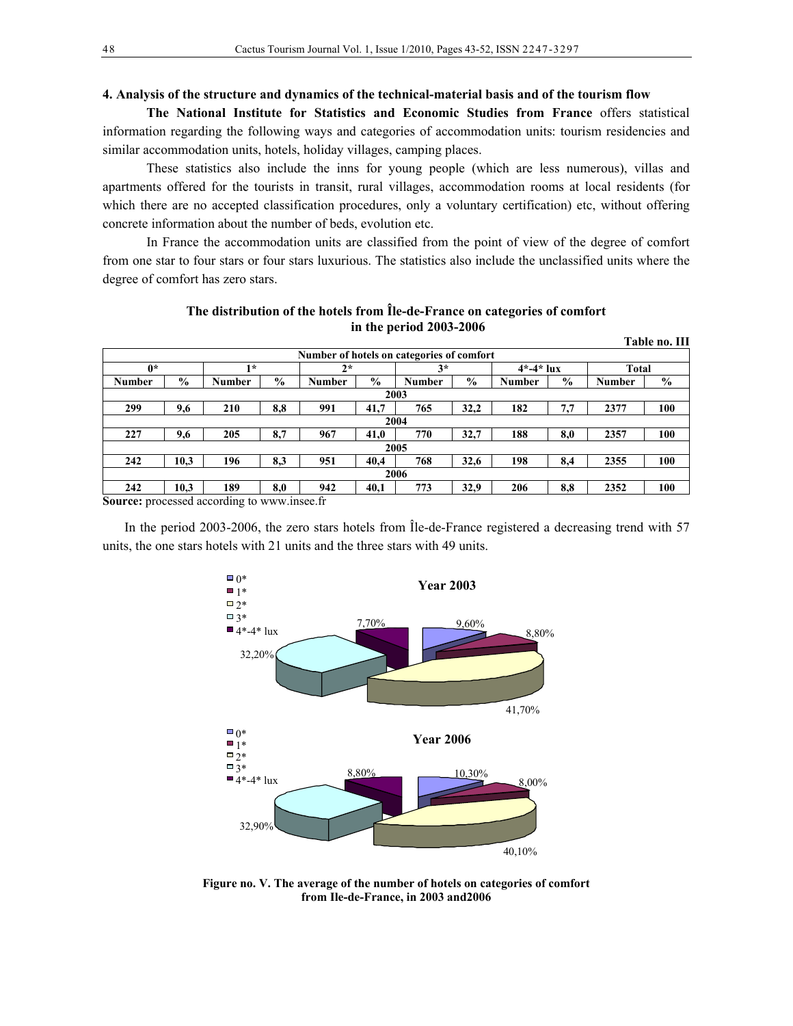#### **4. Analysis of the structure and dynamics of the technical-material basis and of the tourism flow**

**The National Institute for Statistics and Economic Studies from France** offers statistical information regarding the following ways and categories of accommodation units: tourism residencies and similar accommodation units, hotels, holiday villages, camping places.

These statistics also include the inns for young people (which are less numerous), villas and apartments offered for the tourists in transit, rural villages, accommodation rooms at local residents (for which there are no accepted classification procedures, only a voluntary certification) etc, without offering concrete information about the number of beds, evolution etc.

In France the accommodation units are classified from the point of view of the degree of comfort from one star to four stars or four stars luxurious. The statistics also include the unclassified units where the degree of comfort has zero stars.

|               |               |                                            |               |               |               |                                           |               |        |               |               | Table no. III |
|---------------|---------------|--------------------------------------------|---------------|---------------|---------------|-------------------------------------------|---------------|--------|---------------|---------------|---------------|
|               |               |                                            |               |               |               | Number of hotels on categories of comfort |               |        |               |               |               |
| $0*$          | $1*$          |                                            | $2*$          |               | $3*$          |                                           | $4* - 4*$ lux |        | <b>Total</b>  |               |               |
| <b>Number</b> | $\frac{0}{0}$ | Number                                     | $\frac{6}{9}$ | <b>Number</b> | $\frac{6}{9}$ | Number                                    | $\frac{6}{9}$ | Number | $\frac{6}{9}$ | <b>Number</b> | $\%$          |
|               | 2003          |                                            |               |               |               |                                           |               |        |               |               |               |
| 299           | 9,6           | 210                                        | 8,8           | 991           | 41,7          | 765                                       | 32,2          | 182    | 7,7           | 2377          | 100           |
|               | 2004          |                                            |               |               |               |                                           |               |        |               |               |               |
| 227           | 9,6           | 205                                        | 8,7           | 967           | 41,0          | 770                                       | 32,7          | 188    | 8,0           | 2357          | 100           |
|               | 2005          |                                            |               |               |               |                                           |               |        |               |               |               |
| 242           | 10,3          | 196                                        | 8,3           | 951           | 40,4          | 768                                       | 32,6          | 198    | 8.4           | 2355          | 100           |
| 2006          |               |                                            |               |               |               |                                           |               |        |               |               |               |
| 242           | 10,3          | 189                                        | 8,0           | 942           | 40,1          | 773                                       | 32,9          | 206    | 8,8           | 2352          | 100           |
|               |               | Course processed according to unusuance fr |               |               |               |                                           |               |        |               |               |               |

**The distribution of the hotels from Île-de-France on categories of comfort in the period 2003-2006** 

**Source:** processed according to www.insee.fr

In the period 2003-2006, the zero stars hotels from Île-de-France registered a decreasing trend with 57 units, the one stars hotels with 21 units and the three stars with 49 units.



**Figure no. V. The average of the number of hotels on categories of comfort from Ile-de-France, in 2003 and2006**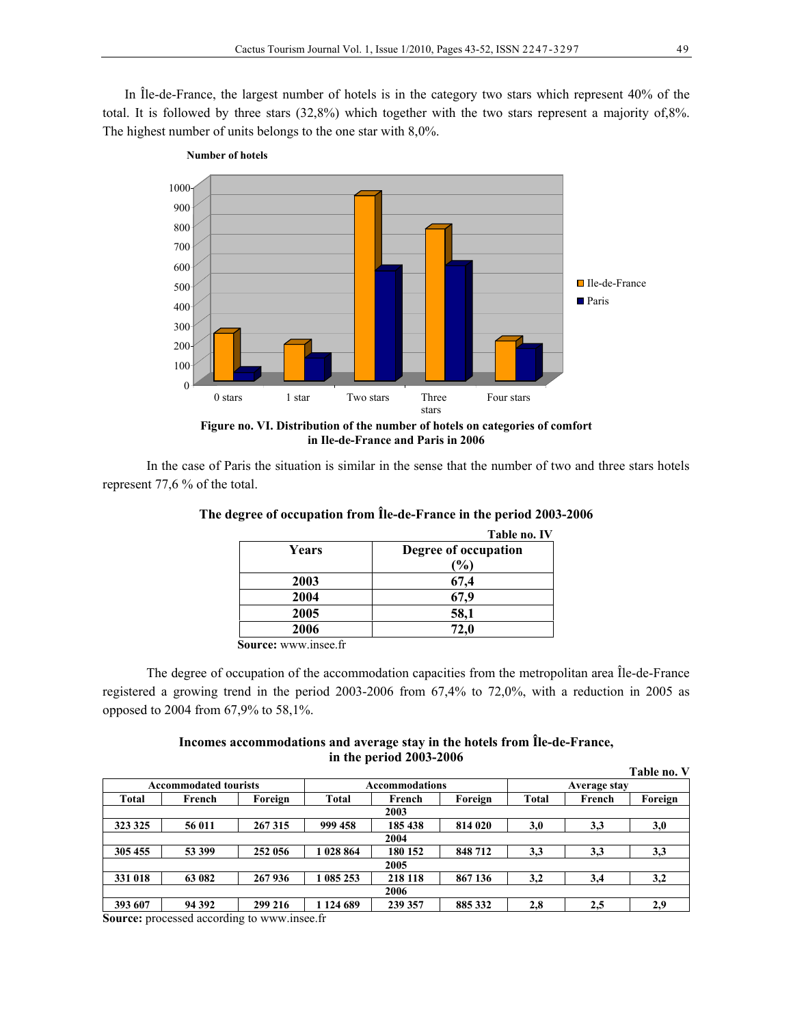In Île-de-France, the largest number of hotels is in the category two stars which represent 40% of the total. It is followed by three stars (32,8%) which together with the two stars represent a majority of,8%. The highest number of units belongs to the one star with 8,0%.



**in Ile-de-France and Paris in 2006**

In the case of Paris the situation is similar in the sense that the number of two and three stars hotels represent 77,6 % of the total.

|       | Table no. IV         |
|-------|----------------------|
| Years | Degree of occupation |
|       | $(\%)$               |
| 2003  | 67,4                 |
| 2004  | 67.9                 |
| 2005  | 58,1                 |
| 2006  | 72,0                 |

**The degree of occupation from Île-de-France in the period 2003-2006** 

**Source:** www.insee.fr

**Number of hotels**

The degree of occupation of the accommodation capacities from the metropolitan area Île-de-France registered a growing trend in the period 2003-2006 from 67,4% to 72,0%, with a reduction in 2005 as opposed to 2004 from 67,9% to 58,1%.

### **Incomes accommodations and average stay in the hotels from Île-de-France, in the period 2003-2006**

|                              |        |         |              |                       |         |              |        | Table no. V |
|------------------------------|--------|---------|--------------|-----------------------|---------|--------------|--------|-------------|
| <b>Accommodated tourists</b> |        |         |              | <b>Accommodations</b> |         | Average stay |        |             |
| <b>Total</b>                 | French | Foreign | <b>Total</b> | Foreign<br>French     |         | <b>Total</b> | French | Foreign     |
|                              | 2003   |         |              |                       |         |              |        |             |
| 323 325                      | 56 011 | 267315  | 999 458      | 185 438               | 814 020 | 3,0          | 3,3    | 3,0         |
|                              | 2004   |         |              |                       |         |              |        |             |
| 305 455                      | 53 399 | 252 056 | 028 864      | 180 152               | 848712  | 3,3          | 3,3    | 3,3         |
| 2005                         |        |         |              |                       |         |              |        |             |
| 331 018                      | 63 082 | 267936  | 085 253      | 218 118               | 867 136 | 3,2          | 3,4    | 3,2         |
| 2006                         |        |         |              |                       |         |              |        |             |
| 393 607                      | 94 392 | 299 216 | 124 689      | 239 357               | 885 332 | 2,8          | 2,5    | 2,9         |

**Source:** processed according to www.insee.fr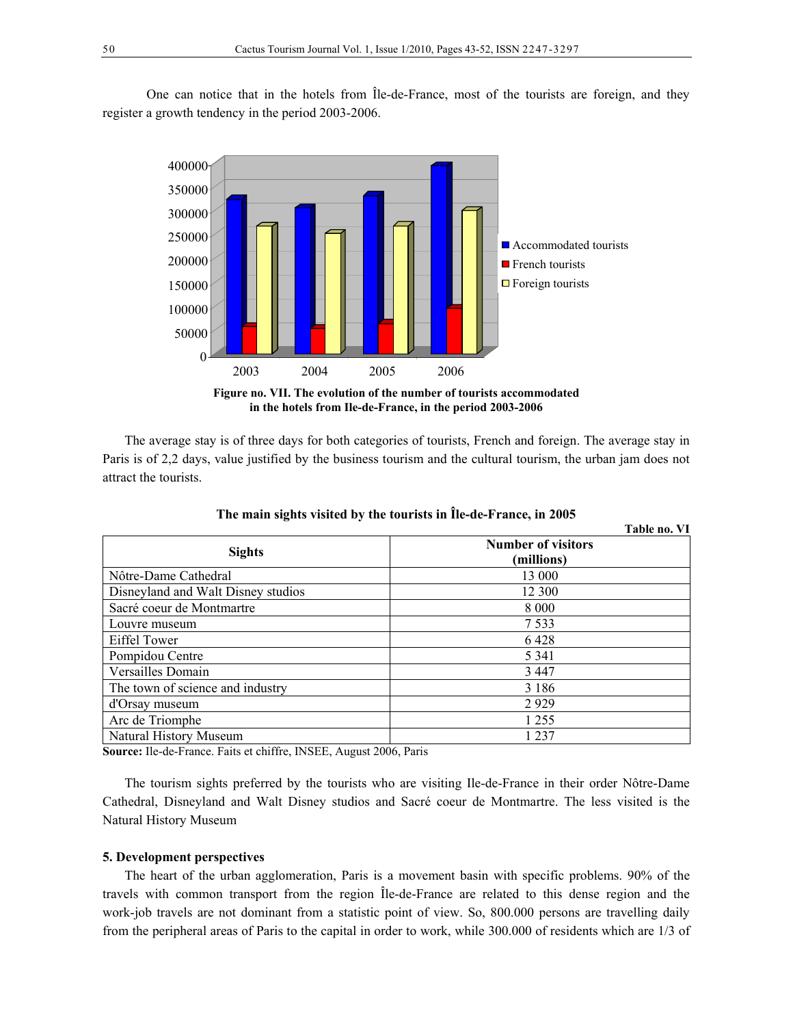One can notice that in the hotels from Île-de-France, most of the tourists are foreign, and they register a growth tendency in the period 2003-2006.



**Figure no. VII. The evolution of the number of tourists accommodated in the hotels from Ile-de-France, in the period 2003-2006**

The average stay is of three days for both categories of tourists, French and foreign. The average stay in Paris is of 2,2 days, value justified by the business tourism and the cultural tourism, the urban jam does not attract the tourists.

|                                    | Table no. VI                            |
|------------------------------------|-----------------------------------------|
| <b>Sights</b>                      | <b>Number of visitors</b><br>(millions) |
| Nôtre-Dame Cathedral               | 13 000                                  |
| Disneyland and Walt Disney studios | 12 300                                  |
| Sacré coeur de Montmartre          | 8 0 0 0                                 |
| Louvre museum                      | 7 5 3 3                                 |
| Eiffel Tower                       | 6428                                    |
| Pompidou Centre                    | 5 3 4 1                                 |
| Versailles Domain                  | 3447                                    |
| The town of science and industry   | 3 1 8 6                                 |
| d'Orsay museum                     | 2929                                    |
| Arc de Triomphe                    | 1 2 5 5                                 |
| Natural History Museum             | 1 2 3 7                                 |

**The main sights visited by the tourists in Île-de-France, in 2005** 

**Source:** Ile-de-France. Faits et chiffre, INSEE, August 2006, Paris

The tourism sights preferred by the tourists who are visiting Ile-de-France in their order Nôtre-Dame Cathedral, Disneyland and Walt Disney studios and Sacré coeur de Montmartre. The less visited is the Natural History Museum

#### **5. Development perspectives**

The heart of the urban agglomeration, Paris is a movement basin with specific problems. 90% of the travels with common transport from the region Île-de-France are related to this dense region and the work-job travels are not dominant from a statistic point of view. So, 800.000 persons are travelling daily from the peripheral areas of Paris to the capital in order to work, while 300.000 of residents which are 1/3 of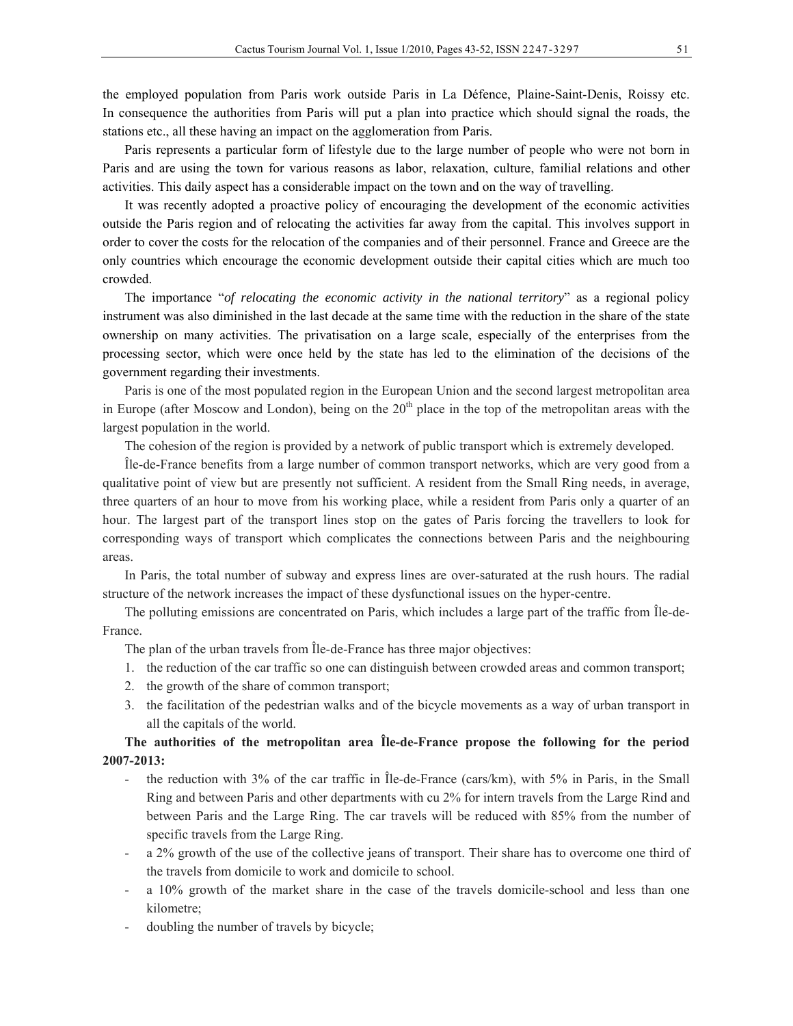the employed population from Paris work outside Paris in La Défence, Plaine-Saint-Denis, Roissy etc. In consequence the authorities from Paris will put a plan into practice which should signal the roads, the stations etc., all these having an impact on the agglomeration from Paris.

Paris represents a particular form of lifestyle due to the large number of people who were not born in Paris and are using the town for various reasons as labor, relaxation, culture, familial relations and other activities. This daily aspect has a considerable impact on the town and on the way of travelling.

It was recently adopted a proactive policy of encouraging the development of the economic activities outside the Paris region and of relocating the activities far away from the capital. This involves support in order to cover the costs for the relocation of the companies and of their personnel. France and Greece are the only countries which encourage the economic development outside their capital cities which are much too crowded.

The importance "*of relocating the economic activity in the national territory*" as a regional policy instrument was also diminished in the last decade at the same time with the reduction in the share of the state ownership on many activities. The privatisation on a large scale, especially of the enterprises from the processing sector, which were once held by the state has led to the elimination of the decisions of the government regarding their investments.

Paris is one of the most populated region in the European Union and the second largest metropolitan area in Europe (after Moscow and London), being on the  $20<sup>th</sup>$  place in the top of the metropolitan areas with the largest population in the world.

The cohesion of the region is provided by a network of public transport which is extremely developed.

Île-de-France benefits from a large number of common transport networks, which are very good from a qualitative point of view but are presently not sufficient. A resident from the Small Ring needs, in average, three quarters of an hour to move from his working place, while a resident from Paris only a quarter of an hour. The largest part of the transport lines stop on the gates of Paris forcing the travellers to look for corresponding ways of transport which complicates the connections between Paris and the neighbouring areas.

In Paris, the total number of subway and express lines are over-saturated at the rush hours. The radial structure of the network increases the impact of these dysfunctional issues on the hyper-centre.

The polluting emissions are concentrated on Paris, which includes a large part of the traffic from Île-de-France.

The plan of the urban travels from Île-de-France has three major objectives:

- 1. the reduction of the car traffic so one can distinguish between crowded areas and common transport;
- 2. the growth of the share of common transport;
- 3. the facilitation of the pedestrian walks and of the bicycle movements as a way of urban transport in all the capitals of the world.

## **The authorities of the metropolitan area Île-de-France propose the following for the period 2007-2013:**

- the reduction with 3% of the car traffic in Île-de-France (cars/km), with 5% in Paris, in the Small Ring and between Paris and other departments with cu 2% for intern travels from the Large Rind and between Paris and the Large Ring. The car travels will be reduced with 85% from the number of specific travels from the Large Ring.
- a 2% growth of the use of the collective jeans of transport. Their share has to overcome one third of the travels from domicile to work and domicile to school.
- a 10% growth of the market share in the case of the travels domicile-school and less than one kilometre;
- doubling the number of travels by bicycle;